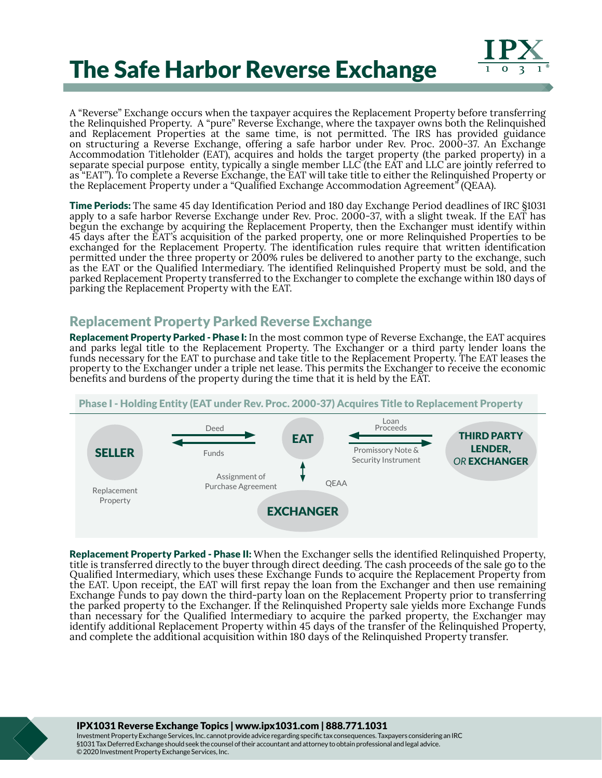



A "Reverse" Exchange occurs when the taxpayer acquires the Replacement Property before transferring the Relinquished Property. A "pure" Reverse Exchange, where the taxpayer owns both the Relinquished and Replacement Properties at the same time, is not permitted. The IRS has provided guidance on structuring a Reverse Exchange, offering a safe harbor under Rev. Proc. 2000-37. An Exchange Accommodation Titleholder (EAT), acquires and holds the target property (the parked property) in a separate special purpose entity, typically a single member LLC (the EAT and LLC are jointly referred to as "EAT"). To complete a Reverse Exchange, the EAT will take title to either the Relinquished Property or the Replacement Property under a "Qualified Exchange Accommodation Agreement" (QEAA).

Time Periods: The same 45 day Identification Period and 180 day Exchange Period deadlines of IRC §1031 apply to a safe harbor Reverse Exchange under Rev. Proc. 2000-37, with a slight tweak. If the EAT has begun the exchange by acquiring the Replacement Property, then the Exchanger must identify within 45 days after the EAT's acquisition of the parked property, one or more Relinquished Properties to be exchanged for the Replacement Property. The identification rules require that written identification permitted under the three property or 200% rules be delivered to another party to the exchange, such as the EAT or the Qualified Intermediary. The identified Relinquished Property must be sold, and the parked Replacement Property transferred to the Exchanger to complete the exchange within 180 days of parking the Replacement Property with the EAT.

## Replacement Property Parked Reverse Exchange

Replacement Property Parked - Phase I: In the most common type of Reverse Exchange, the EAT acquires and parks legal title to the Replacement Property. The Exchanger or a third party lender loans the funds necessary for the EAT to purchase and take title to the Replacement Property. The EAT leases the property to the Exchanger under a triple net lease. This permits the Exchanger to receive the economic benefits and burdens of the property during the time that it is held by the EAT.



Replacement Property Parked - Phase II: When the Exchanger sells the identified Relinquished Property, title is transferred directly to the buyer through direct deeding. The cash proceeds of the sale go to the Qualified Intermediary, which uses these Exchange Funds to acquire the Replacement Property from the EAT. Upon receipt, the EAT will first repay the loan from the Exchanger and then use remaining Exchange Funds to pay down the third-party loan on the Replacement Property prior to transferring the parked property to the Exchanger. If the Relinquished Property sale yields more Exchange Funds than necessary for the Qualified Intermediary to acquire the parked property, the Exchanger may identify additional Replacement Property within 45 days of the transfer of the Relinquished Property, and complete the additional acquisition within 180 days of the Relinquished Property transfer.

IPX1031 Reverse Exchange Topics | www.ipx1031.com | 888.771.1031

Investment Property Exchange Services, Inc. cannot provide advice regarding specific tax consequences. Taxpayers considering an IRC §1031 Tax Deferred Exchange should seek the counsel of their accountant and attorney to obtain professional and legal advice. © 2020 Investment Property Exchange Services, Inc.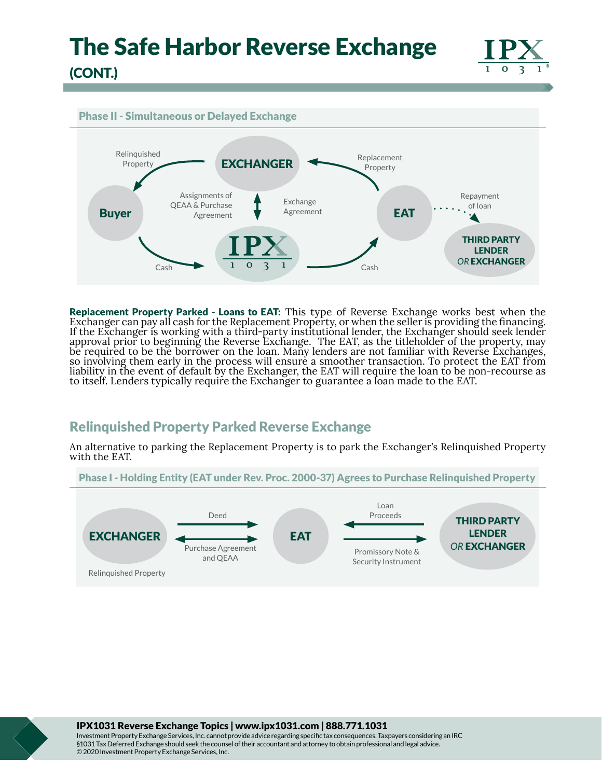

### Phase II - Simultaneous or Delayed Exchange



Replacement Property Parked - Loans to EAT: This type of Reverse Exchange works best when the Exchanger can pay all cash for the Replacement Property, or when the seller is providing the financing. If the Exchanger is working with a third-party institutional lender, the Exchanger should seek lender approval prior to beginning the Reverse Exchange. The EAT, as the titleholder of the property, may be required to be the borrower on the loan. Many lenders are not familiar with Reverse Exchanges, so involving them early in the process will ensure a smoother transaction. To protect the EAT from liability in the event of default by the Exchanger, the EAT will require the loan to be non-recourse as to itself. Lenders typically require the Exchanger to guarantee a loan made to the EAT.

# Relinquished Property Parked Reverse Exchange

An alternative to parking the Replacement Property is to park the Exchanger's Relinquished Property with the EAT.



IPX1031 Reverse Exchange Topics | www.ipx1031.com | 888.771.1031

Investment Property Exchange Services, Inc. cannot provide advice regarding specific tax consequences. Taxpayers considering an IRC §1031 Tax Deferred Exchange should seek the counsel of their accountant and attorney to obtain professional and legal advice. © 2020 Investment Property Exchange Services, Inc.